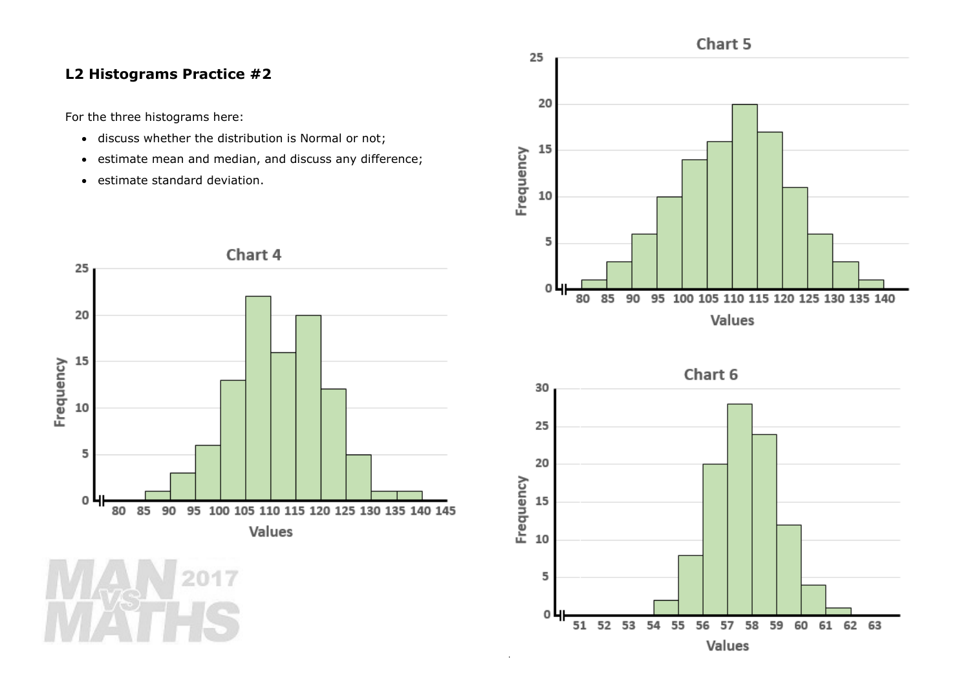## **L2 Histograms Practice #2**

For the three histograms here:

- discuss whether the distribution is Normal or not;
- estimate mean and median, and discuss any difference;
- estimate standard deviation.





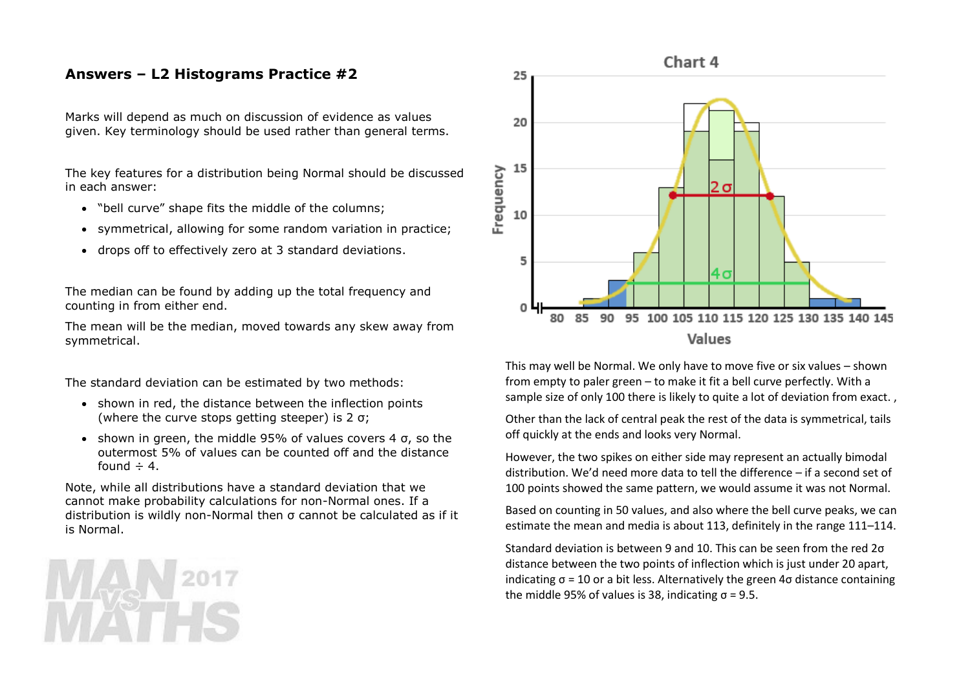## **Answers – L2 Histograms Practice #2**

Marks will depend as much on discussion of evidence as values given. Key terminology should be used rather than general terms.

The key features for a distribution being Normal should be discussed in each answer:

- "bell curve" shape fits the middle of the columns;
- symmetrical, allowing for some random variation in practice;
- drops off to effectively zero at 3 standard deviations.

The median can be found by adding up the total frequency and counting in from either end.

The mean will be the median, moved towards any skew away from symmetrical.

The standard deviation can be estimated by two methods:

- shown in red, the distance between the inflection points (where the curve stops getting steeper) is 2 σ;
- shown in green, the middle 95% of values covers 4  $\sigma$ , so the outermost 5% of values can be counted off and the distance found  $\div$  4.

Note, while all distributions have a standard deviation that we cannot make probability calculations for non-Normal ones. If a distribution is wildly non-Normal then σ cannot be calculated as if it is Normal.



## Values

This may well be Normal. We only have to move five or six values – shown from empty to paler green – to make it fit a bell curve perfectly. With a sample size of only 100 there is likely to quite a lot of deviation from exact. ,

Other than the lack of central peak the rest of the data is symmetrical, tails off quickly at the ends and looks very Normal.

However, the two spikes on either side may represent an actually bimodal distribution. We'd need more data to tell the difference – if a second set of 100 points showed the same pattern, we would assume it was not Normal.

Based on counting in 50 values, and also where the bell curve peaks, we can estimate the mean and media is about 113, definitely in the range 111–114.

Standard deviation is between 9 and 10. This can be seen from the red 2σ distance between the two points of inflection which is just under 20 apart, indicating  $\sigma$  = 10 or a bit less. Alternatively the green 4 $\sigma$  distance containing the middle 95% of values is 38, indicating  $σ = 9.5$ .